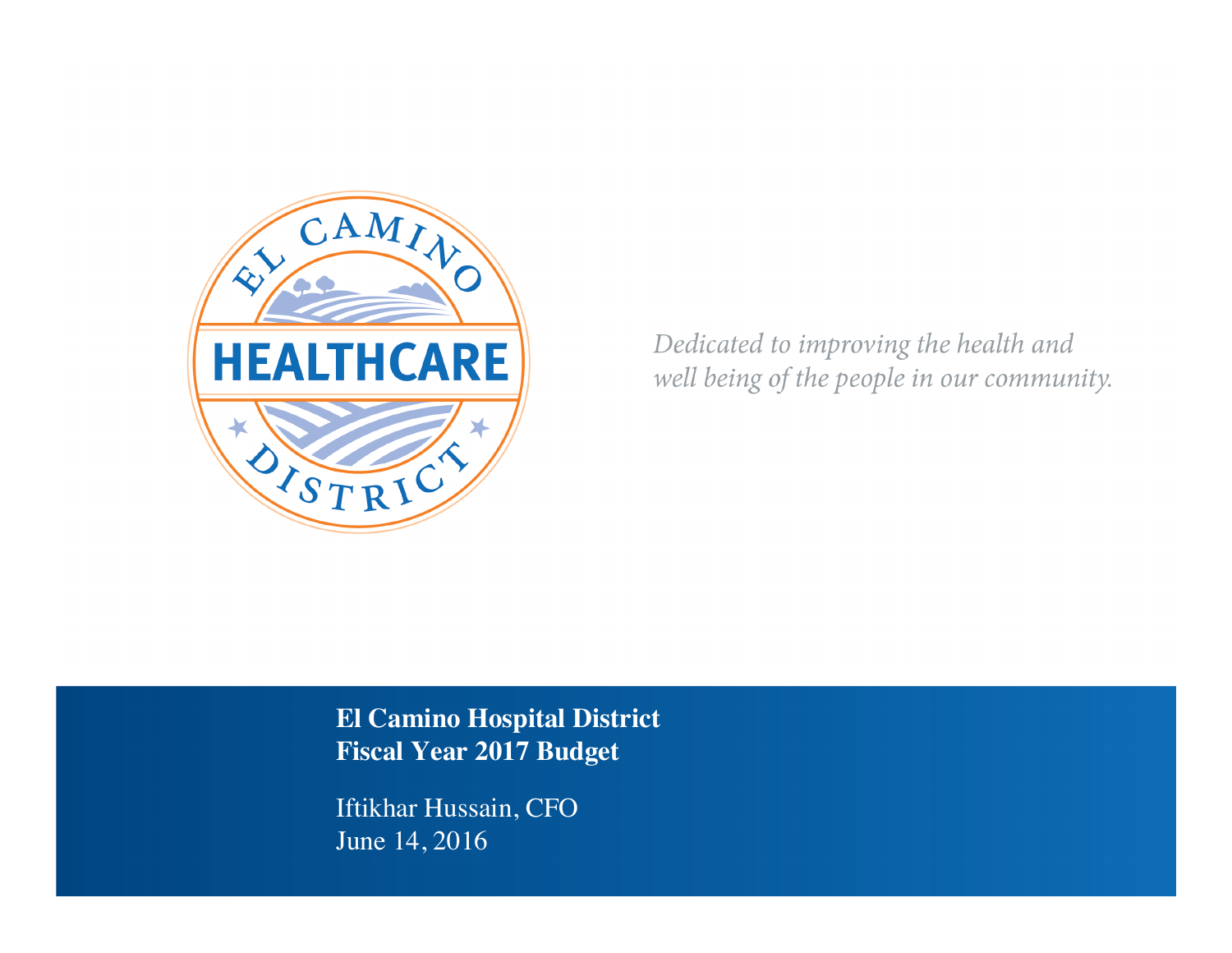

Dedicated to improving the health and well being of the people in our community.

**El Camino Hospital District Fiscal Year 2017 Budget**

Iftikhar Hussain, CFO June 14, 2016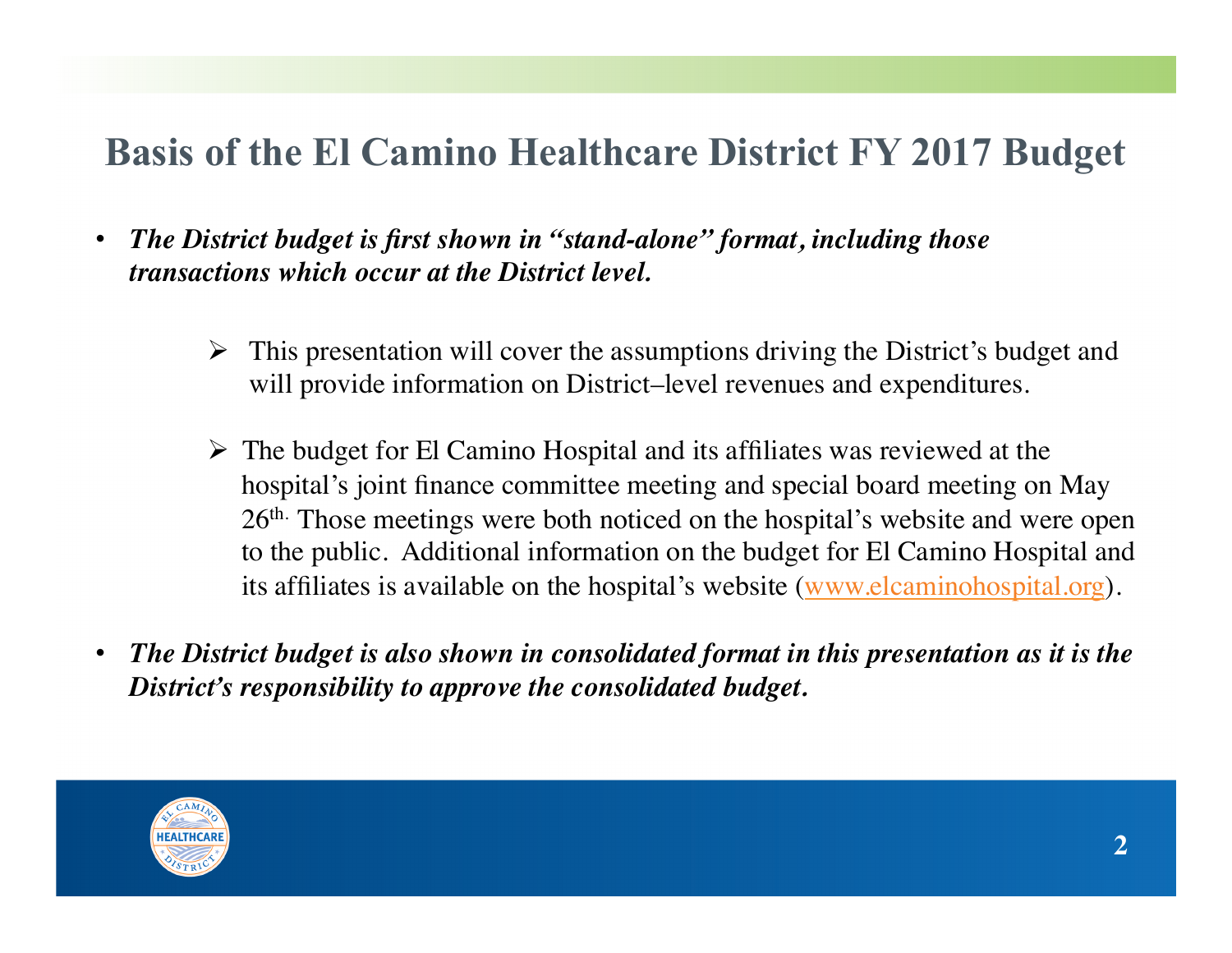# **Basis of the El Camino Healthcare District FY 2017 Budget**

- *The District budget is first shown in "stand-alone" format, including those transactions which occur at the District level.*
	- $\triangleright$  This presentation will cover the assumptions driving the District's budget and will provide information on District–level revenues and expenditures.
	- $\triangleright$  The budget for El Camino Hospital and its affiliates was reviewed at the hospital's joint finance committee meeting and special board meeting on May 26th. Those meetings were both noticed on the hospital's website and were open to the public. Additional information on the budget for El Camino Hospital and its affiliates is available on the hospital's website (www.elcaminohospital.org).
- *The District budget is also shown in consolidated format in this presentation as it is the District's responsibility to approve the consolidated budget.*

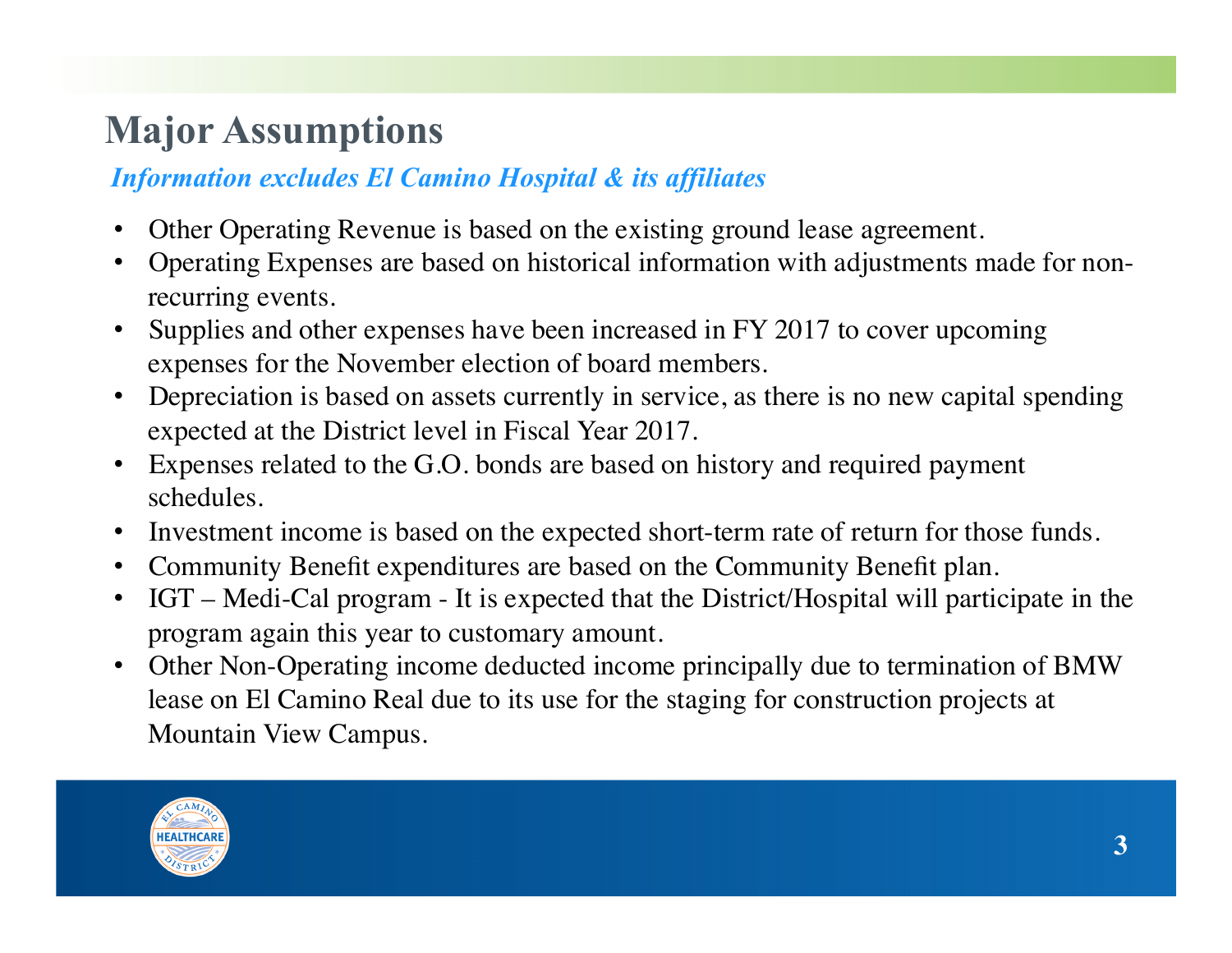# **Major Assumptions**

## *Information excludes El Camino Hospital & its affiliates*

- Other Operating Revenue is based on the existing ground lease agreement.
- Operating Expenses are based on historical information with adjustments made for nonrecurring events.
- Supplies and other expenses have been increased in FY 2017 to cover upcoming expenses for the November election of board members.
- Depreciation is based on assets currently in service, as there is no new capital spending expected at the District level in Fiscal Year 2017.
- Expenses related to the G.O. bonds are based on history and required payment schedules.
- Investment income is based on the expected short-term rate of return for those funds.
- Community Benefit expenditures are based on the Community Benefit plan.
- IGT Medi-Cal program It is expected that the District/Hospital will participate in the program again this year to customary amount.
- Other Non-Operating income deducted income principally due to termination of BMW lease on El Camino Real due to its use for the staging for construction projects at Mountain View Campus.

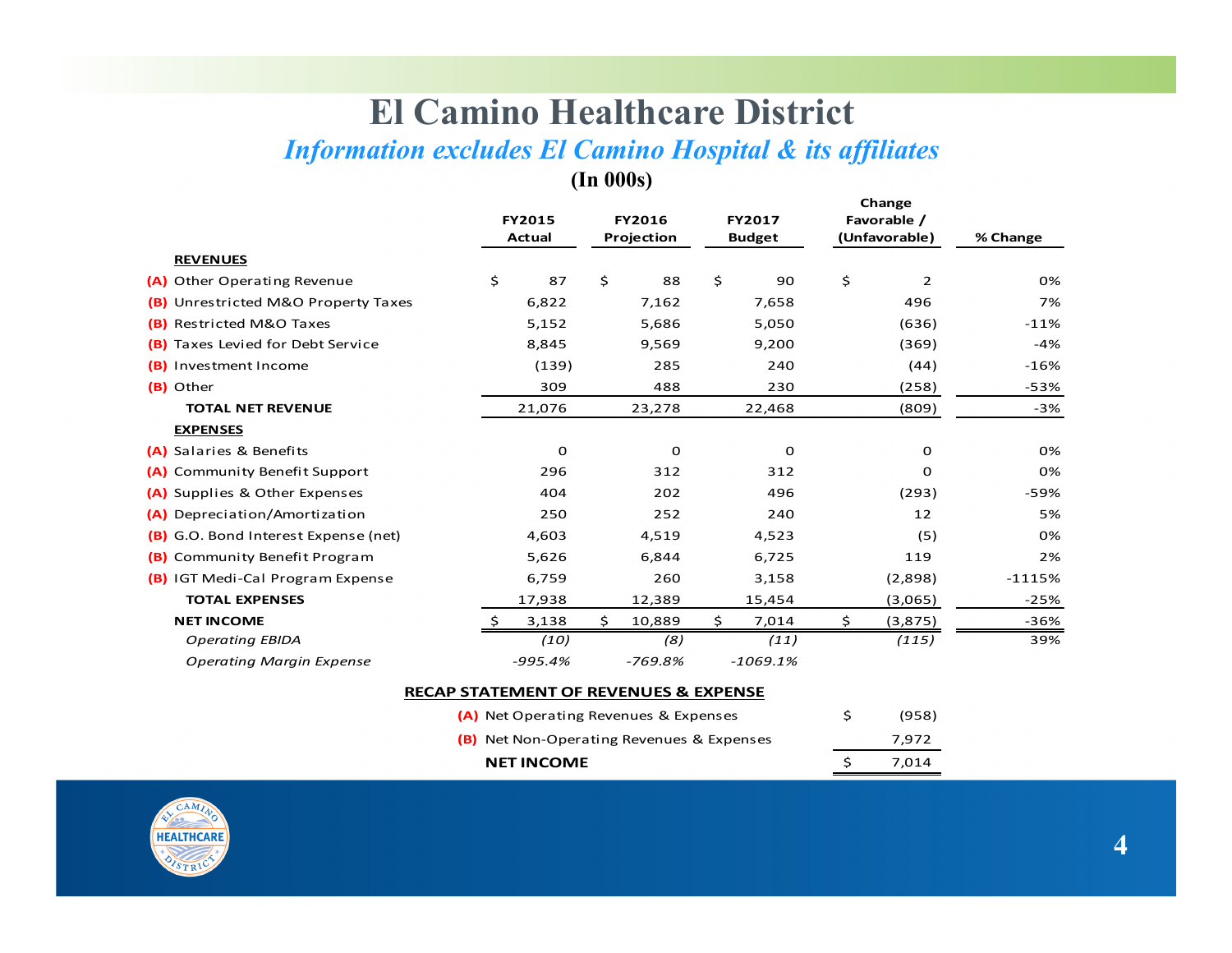# **El Camino Healthcare District**

# *Information excludes El Camino Hospital & its affiliates*

**(In 000s)** 

|                                            | <b>FY2015</b><br>Actual | <b>FY2016</b><br>Projection |    | <b>FY2017</b><br><b>Budget</b> | Change<br>Favorable /<br>(Unfavorable) | % Change |
|--------------------------------------------|-------------------------|-----------------------------|----|--------------------------------|----------------------------------------|----------|
| <b>REVENUES</b>                            |                         |                             |    |                                |                                        |          |
| Other Operating Revenue<br>(A)             | \$<br>87                | \$<br>88                    | \$ | 90                             | \$<br>$\overline{2}$                   | 0%       |
| Unrestricted M&O Property Taxes<br>(B)     | 6,822                   | 7,162                       |    | 7,658                          | 496                                    | 7%       |
| Restricted M&O Taxes<br>(B)                | 5,152                   | 5,686                       |    | 5,050                          | (636)                                  | $-11%$   |
| Taxes Levied for Debt Service<br>(B)       | 8,845                   | 9,569                       |    | 9,200                          | (369)                                  | $-4%$    |
| Investment Income<br>(B)                   | (139)                   | 285                         |    | 240                            | (44)                                   | $-16%$   |
| (B) Other                                  | 309                     | 488                         |    | 230                            | (258)                                  | $-53%$   |
| <b>TOTAL NET REVENUE</b>                   | 21,076                  | 23,278                      |    | 22,468                         | (809)                                  | $-3%$    |
| <b>EXPENSES</b>                            |                         |                             |    |                                |                                        |          |
| Salaries & Benefits<br>(A)                 | 0                       | $\Omega$                    |    | 0                              | 0                                      | 0%       |
| <b>Community Benefit Support</b><br>(A)    | 296                     | 312                         |    | 312                            | 0                                      | 0%       |
| Supplies & Other Expenses<br>(A)           | 404                     | 202                         |    | 496                            | (293)                                  | -59%     |
| Depreciation/Amortization<br>(A)           | 250                     | 252                         |    | 240                            | 12                                     | 5%       |
| G.O. Bond Interest Expense (net)<br>(B)    | 4,603                   | 4,519                       |    | 4,523                          | (5)                                    | 0%       |
| Community Benefit Program<br>(B)           | 5,626                   | 6,844                       |    | 6,725                          | 119                                    | 2%       |
| <b>IGT Medi-Cal Program Expense</b><br>(B) | 6,759                   | 260                         |    | 3,158                          | (2,898)                                | $-1115%$ |
| <b>TOTAL EXPENSES</b>                      | 17,938                  | 12,389                      |    | 15,454                         | (3,065)                                | $-25%$   |
| <b>NET INCOME</b>                          | 3,138                   | \$<br>10,889                | S. | 7,014                          | \$<br>(3,875)                          | $-36%$   |
| <b>Operating EBIDA</b>                     | (10)                    | (8)                         |    | (11)                           | (115)                                  | 39%      |
| <b>Operating Margin Expense</b>            | $-995.4%$               | $-769.8%$                   |    | $-1069.1%$                     |                                        |          |

#### **RECAP STATEMENT OF REVENUES & EXPENSE**

| <b>NET INCOME</b>                                | S. | 7.014 |
|--------------------------------------------------|----|-------|
| <b>(B)</b> Net Non-Operating Revenues & Expenses |    | 7.972 |
| (A) Net Operating Revenues & Expenses            |    | (958) |

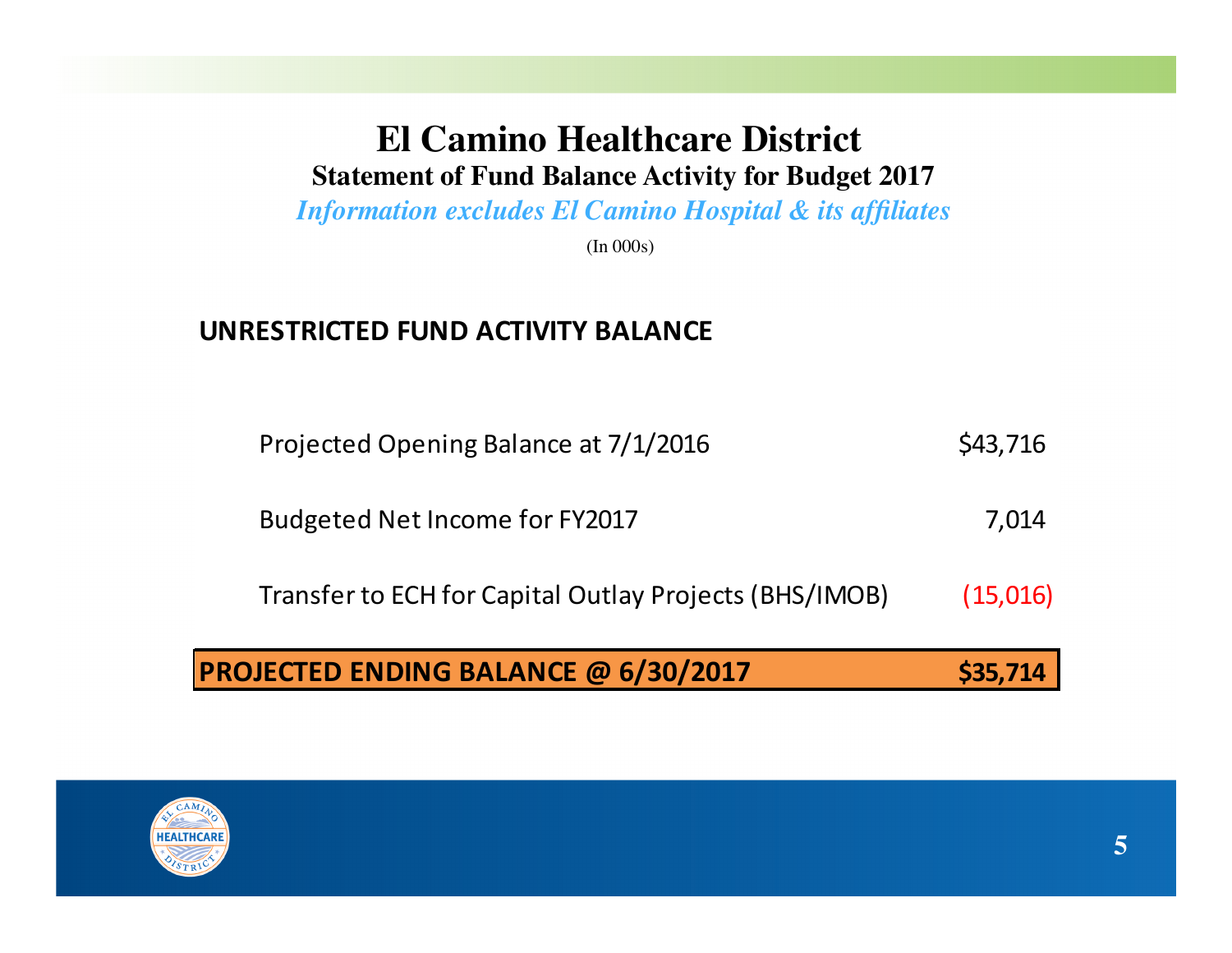## **El Camino Healthcare District Statement of Fund Balance Activity for Budget 2017**

*Information excludes El Camino Hospital & its affiliates*

(In 000s)

#### **UNRESTRICTED FUND ACTIVITY BALANCE**

| <b>PROJECTED ENDING BALANCE @ 6/30/2017</b>            | \$35,714 |
|--------------------------------------------------------|----------|
| Transfer to ECH for Capital Outlay Projects (BHS/IMOB) | (15,016) |
| Budgeted Net Income for FY2017                         | 7,014    |
| Projected Opening Balance at 7/1/2016                  | \$43,716 |

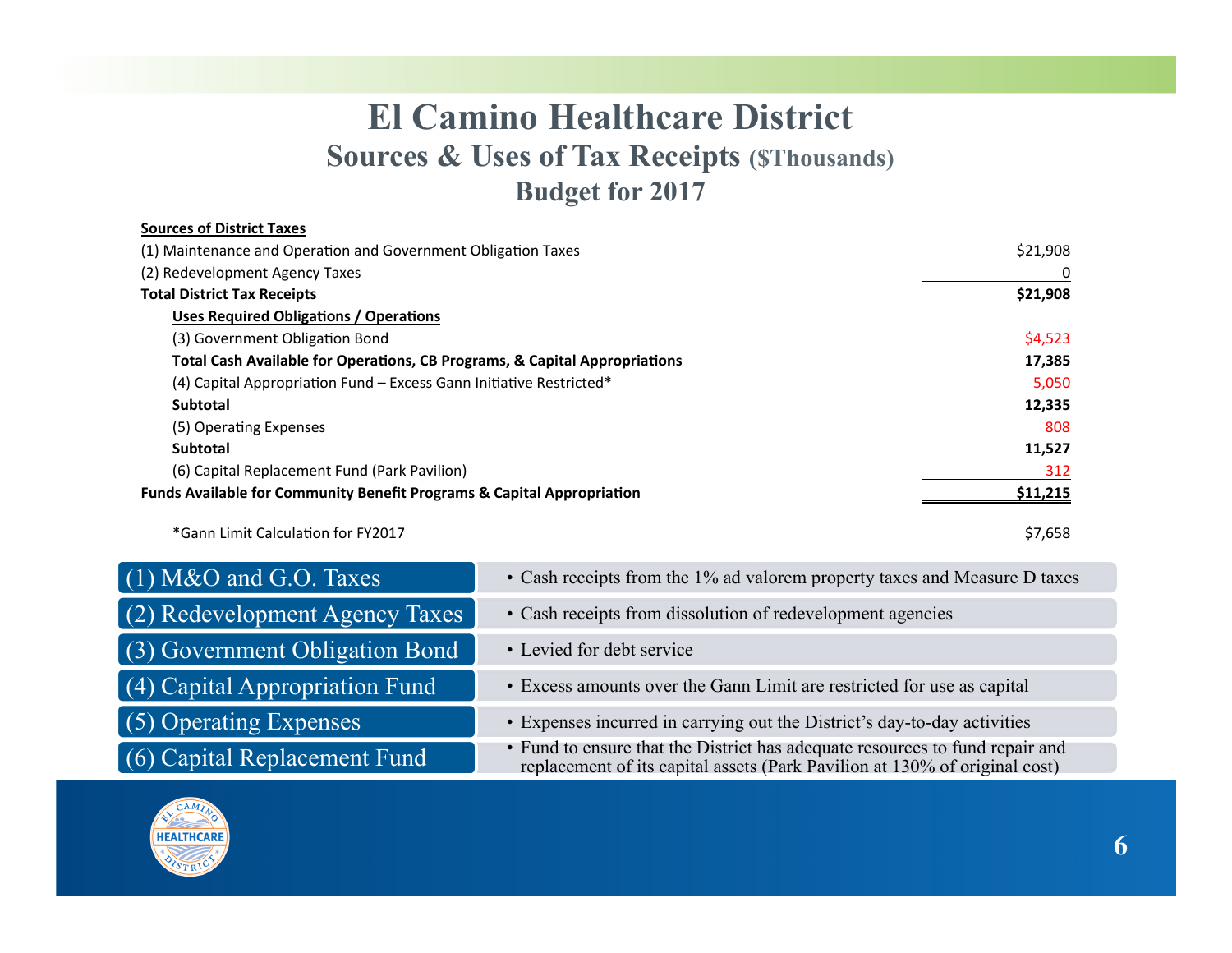# **El Camino Healthcare District Sources & Uses of Tax Receipts (\$Thousands) Budget for 2017**

| <b>Sources of District Taxes</b>                                                  |          |
|-----------------------------------------------------------------------------------|----------|
| (1) Maintenance and Operation and Government Obligation Taxes                     | \$21,908 |
| (2) Redevelopment Agency Taxes                                                    | 0        |
| <b>Total District Tax Receipts</b>                                                | \$21,908 |
| <b>Uses Required Obligations / Operations</b>                                     |          |
| (3) Government Obligation Bond                                                    | \$4,523  |
| Total Cash Available for Operations, CB Programs, & Capital Appropriations        | 17,385   |
| (4) Capital Appropriation Fund - Excess Gann Initiative Restricted*               | 5,050    |
| <b>Subtotal</b>                                                                   | 12,335   |
| (5) Operating Expenses                                                            | 808      |
| <b>Subtotal</b>                                                                   | 11,527   |
| (6) Capital Replacement Fund (Park Pavilion)                                      | 312      |
| <b>Funds Available for Community Benefit Programs &amp; Capital Appropriation</b> | \$11,215 |
| *Gann Limit Calculation for FY2017                                                | \$7,658  |

| $(1)$ M&O and G.O. Taxes       | • Cash receipts from the 1% ad valorem property taxes and Measure D taxes                                                                               |
|--------------------------------|---------------------------------------------------------------------------------------------------------------------------------------------------------|
| (2) Redevelopment Agency Taxes | • Cash receipts from dissolution of redevelopment agencies                                                                                              |
| (3) Government Obligation Bond | • Levied for debt service                                                                                                                               |
| (4) Capital Appropriation Fund | • Excess amounts over the Gann Limit are restricted for use as capital                                                                                  |
| $(5)$ Operating Expenses       | • Expenses incurred in carrying out the District's day-to-day activities                                                                                |
| (6) Capital Replacement Fund   | • Fund to ensure that the District has adequate resources to fund repair and replacement of its capital assets (Park Pavilion at 130% of original cost) |

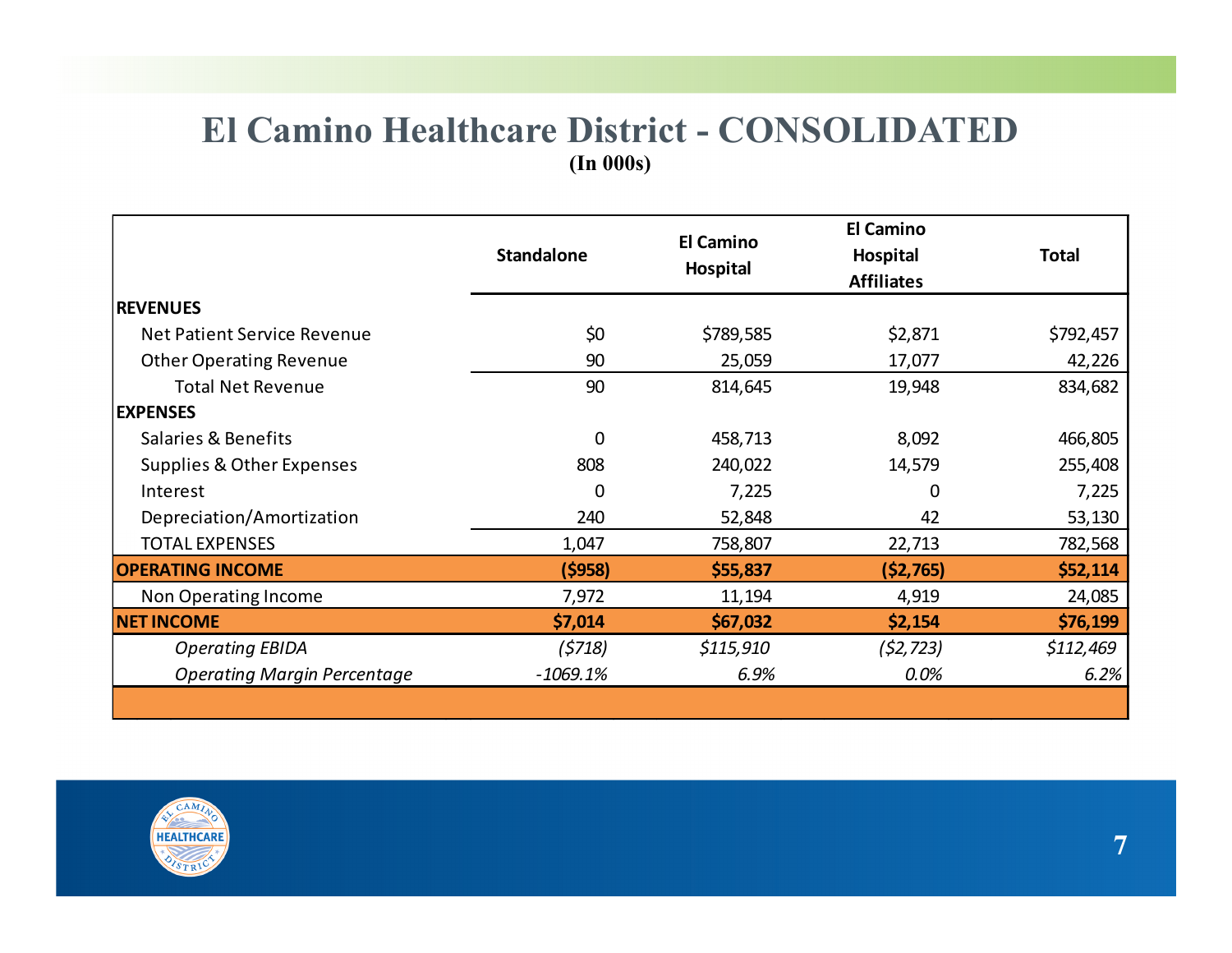### **El Camino Healthcare District - CONSOLIDATED (In 000s)**

|                                    | <b>Standalone</b> | <b>El Camino</b><br>Hospital | El Camino<br>Hospital<br><b>Affiliates</b> | <b>Total</b> |
|------------------------------------|-------------------|------------------------------|--------------------------------------------|--------------|
| <b>REVENUES</b>                    |                   |                              |                                            |              |
| Net Patient Service Revenue        | \$0               | \$789,585                    | \$2,871                                    | \$792,457    |
| <b>Other Operating Revenue</b>     | 90                | 25,059                       | 17,077                                     | 42,226       |
| <b>Total Net Revenue</b>           | 90                | 814,645                      | 19,948                                     | 834,682      |
| <b>EXPENSES</b>                    |                   |                              |                                            |              |
| Salaries & Benefits                | 0                 | 458,713                      | 8,092                                      | 466,805      |
| Supplies & Other Expenses          | 808               | 240,022                      | 14,579                                     | 255,408      |
| Interest                           | 0                 | 7,225                        | 0                                          | 7,225        |
| Depreciation/Amortization          | 240               | 52,848                       | 42                                         | 53,130       |
| <b>TOTAL EXPENSES</b>              | 1,047             | 758,807                      | 22,713                                     | 782,568      |
| <b>OPERATING INCOME</b>            | (5958)            | \$55,837                     | (52, 765)                                  | \$52,114     |
| Non Operating Income               | 7,972             | 11,194                       | 4,919                                      | 24,085       |
| <b>NET INCOME</b>                  | \$7,014           | \$67,032                     | \$2,154                                    | \$76,199     |
| <b>Operating EBIDA</b>             | (5718)            | \$115,910                    | (52, 723)                                  | \$112,469    |
| <b>Operating Margin Percentage</b> | $-1069.1%$        | 6.9%                         | 0.0%                                       | 6.2%         |

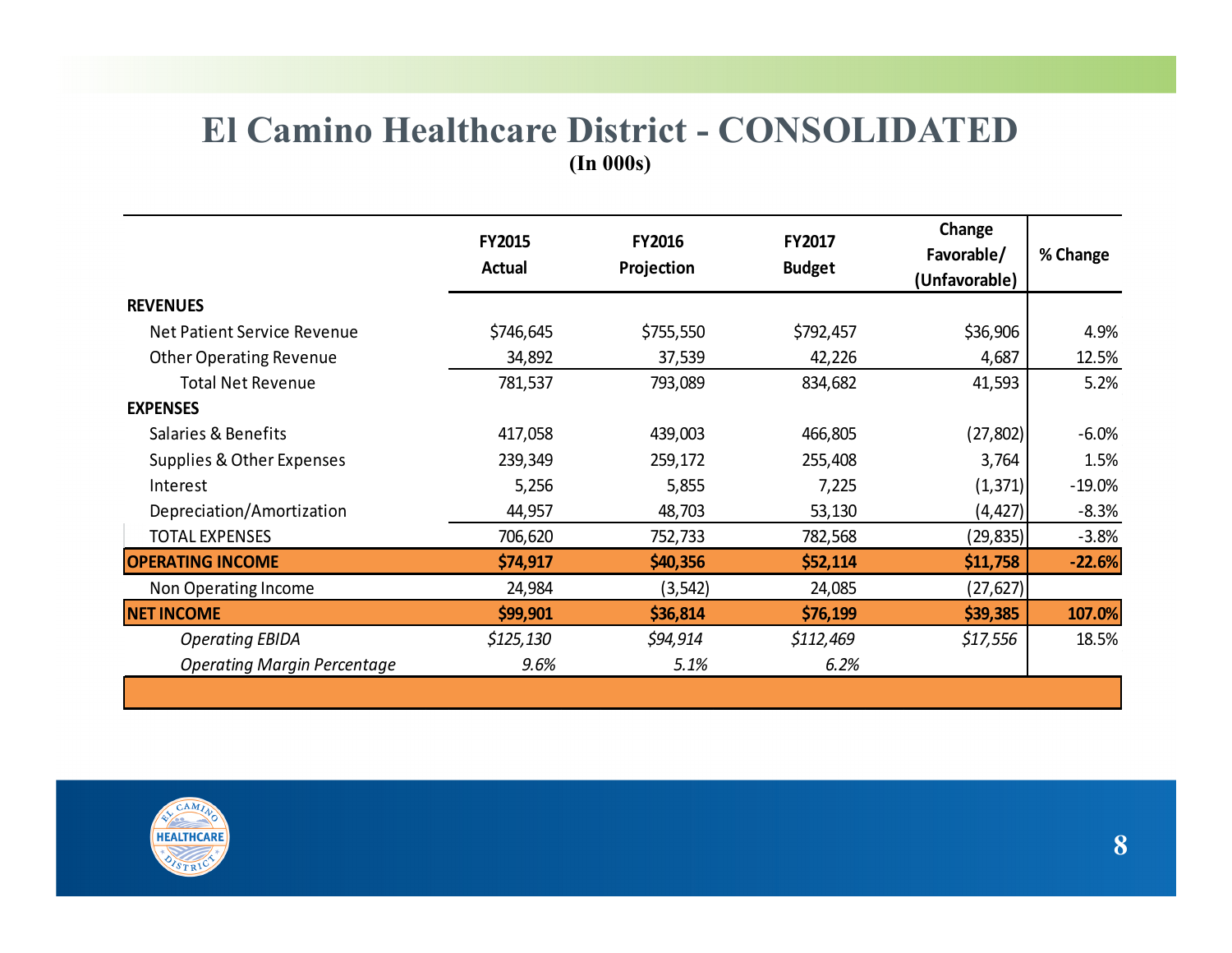### **El Camino Healthcare District - CONSOLIDATED (In 000s)**

|                                    | <b>FY2015</b><br><b>Actual</b> | <b>FY2016</b><br>FY2017<br>Projection<br><b>Budget</b> |           | Change<br>Favorable/<br>(Unfavorable) | % Change |  |
|------------------------------------|--------------------------------|--------------------------------------------------------|-----------|---------------------------------------|----------|--|
| <b>REVENUES</b>                    |                                |                                                        |           |                                       |          |  |
| <b>Net Patient Service Revenue</b> | \$746,645                      | \$755,550                                              | \$792,457 | \$36,906                              | 4.9%     |  |
| <b>Other Operating Revenue</b>     | 34,892                         | 37,539                                                 | 42,226    | 4,687                                 | 12.5%    |  |
| <b>Total Net Revenue</b>           | 781,537                        | 793,089                                                | 834,682   | 41,593                                | 5.2%     |  |
| <b>EXPENSES</b>                    |                                |                                                        |           |                                       |          |  |
| Salaries & Benefits                | 417,058                        | 439,003                                                | 466,805   | (27, 802)                             | $-6.0\%$ |  |
| Supplies & Other Expenses          | 239,349                        | 259,172                                                | 255,408   | 3,764                                 | 1.5%     |  |
| Interest                           | 5,256                          | 5,855                                                  | 7,225     | (1, 371)                              | $-19.0%$ |  |
| Depreciation/Amortization          | 44,957                         | 48,703                                                 | 53,130    | (4, 427)                              | $-8.3%$  |  |
| <b>TOTAL EXPENSES</b>              | 706,620                        | 752,733                                                | 782,568   | (29,835)                              | $-3.8%$  |  |
| <b>OPERATING INCOME</b>            | \$74,917                       | \$40,356                                               | \$52,114  | \$11,758                              | $-22.6%$ |  |
| Non Operating Income               | 24,984                         | (3, 542)                                               | 24,085    | (27, 627)                             |          |  |
| <b>NET INCOME</b>                  | \$99,901                       | \$36,814                                               | \$76,199  | \$39,385                              | 107.0%   |  |
| <b>Operating EBIDA</b>             | \$125,130                      | \$94,914                                               | \$112,469 | \$17,556                              | 18.5%    |  |
| <b>Operating Margin Percentage</b> | 9.6%                           | 5.1%                                                   | 6.2%      |                                       |          |  |

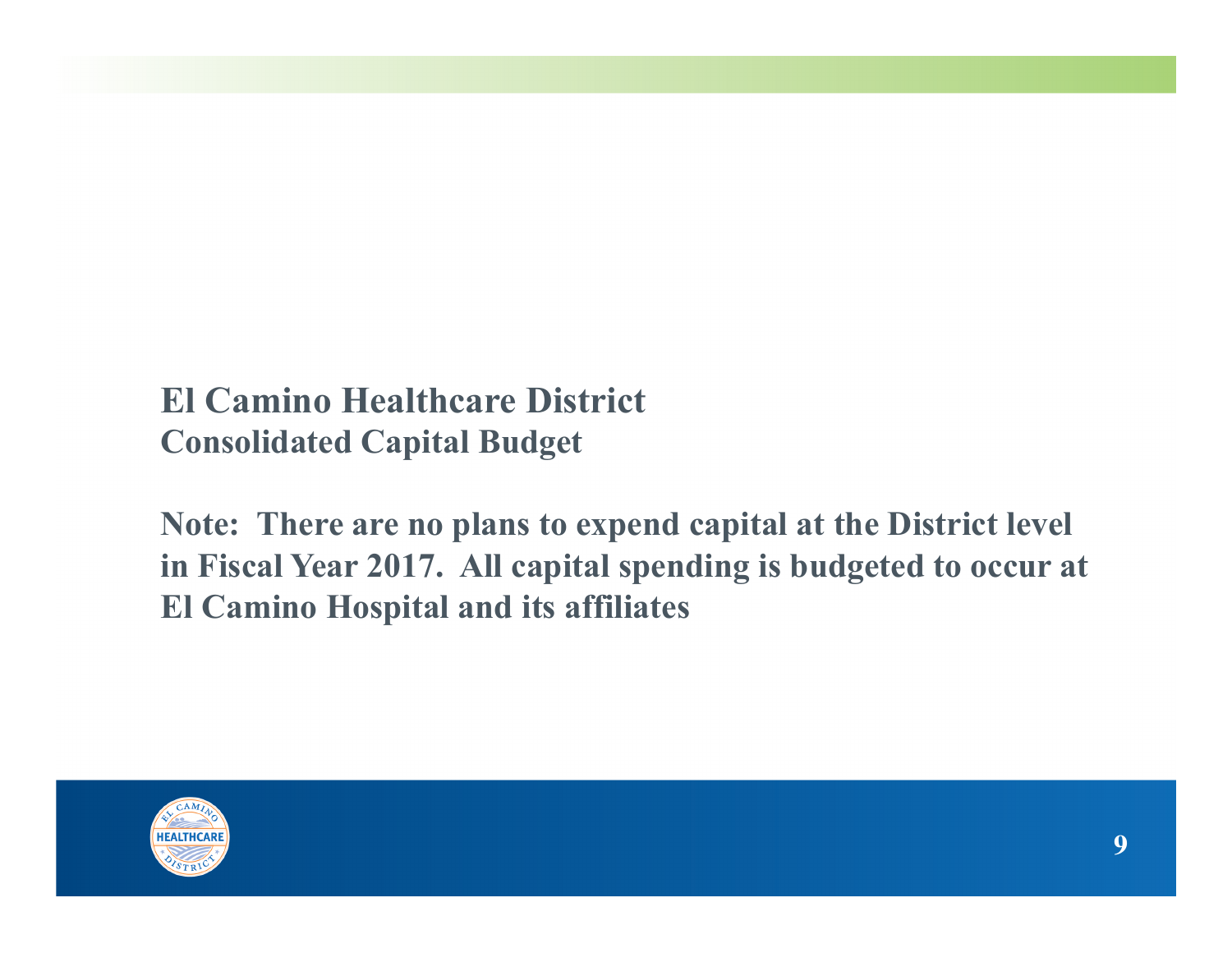# **El Camino Healthcare District Consolidated Capital Budget**

**Note: There are no plans to expend capital at the District level in Fiscal Year 2017. All capital spending is budgeted to occur at El Camino Hospital and its affiliates** 

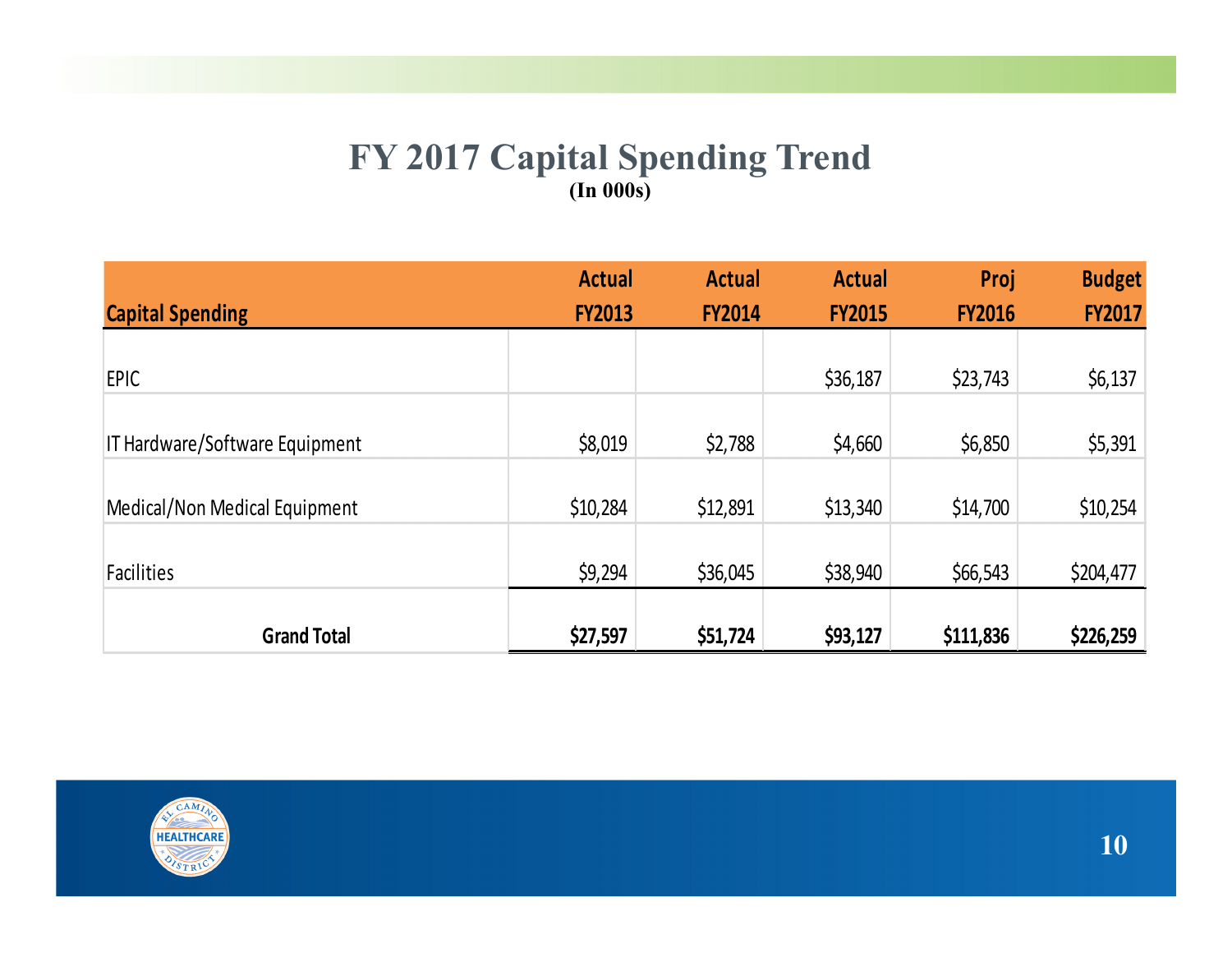#### **FY 2017 Capital Spending Trend (In 000s)**

|                                | <b>Actual</b> | <b>Actual</b> | <b>Actual</b> | Proj          | <b>Budget</b> |
|--------------------------------|---------------|---------------|---------------|---------------|---------------|
| <b>Capital Spending</b>        | <b>FY2013</b> | <b>FY2014</b> | <b>FY2015</b> | <b>FY2016</b> | <b>FY2017</b> |
|                                |               |               |               |               |               |
| <b>EPIC</b>                    |               |               | \$36,187      | \$23,743      | \$6,137       |
|                                |               |               |               |               |               |
| IT Hardware/Software Equipment | \$8,019       | \$2,788       | \$4,660       | \$6,850       | \$5,391       |
|                                |               |               |               |               |               |
| Medical/Non Medical Equipment  | \$10,284      | \$12,891      | \$13,340      | \$14,700      | \$10,254      |
|                                |               |               |               |               |               |
| Facilities                     | \$9,294       | \$36,045      | \$38,940      | \$66,543      | \$204,477     |
|                                |               |               |               |               |               |
| <b>Grand Total</b>             | \$27,597      | \$51,724      | \$93,127      | \$111,836     | \$226,259     |

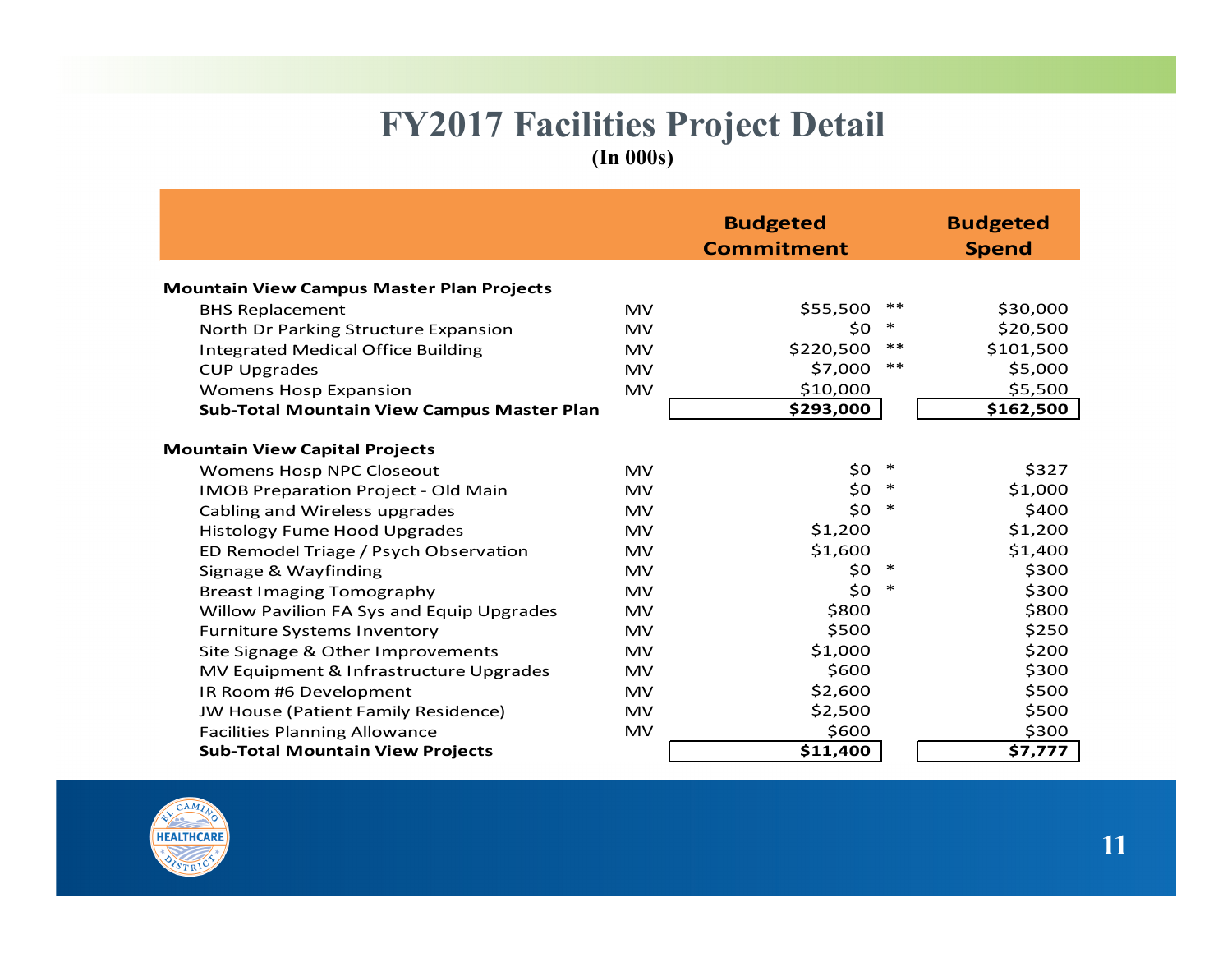#### **FY2017 Facilities Project Detail (In 000s)**

|                                                   |           | <b>Budgeted</b>   |        | <b>Budgeted</b> |
|---------------------------------------------------|-----------|-------------------|--------|-----------------|
|                                                   |           |                   |        |                 |
|                                                   |           | <b>Commitment</b> |        | <b>Spend</b>    |
| <b>Mountain View Campus Master Plan Projects</b>  |           |                   |        |                 |
| <b>BHS Replacement</b>                            | <b>MV</b> | \$55,500          | **     | \$30,000        |
| North Dr Parking Structure Expansion              | <b>MV</b> | \$0               | ∗      | \$20,500        |
| <b>Integrated Medical Office Building</b>         | <b>MV</b> | \$220,500         | $***$  | \$101,500       |
| <b>CUP Upgrades</b>                               | <b>MV</b> | \$7,000           | $***$  | \$5,000         |
| <b>Womens Hosp Expansion</b>                      | <b>MV</b> | \$10,000          |        | \$5,500         |
| <b>Sub-Total Mountain View Campus Master Plan</b> |           | \$293,000         |        | \$162,500       |
|                                                   |           |                   |        |                 |
| <b>Mountain View Capital Projects</b>             |           |                   |        |                 |
| Womens Hosp NPC Closeout                          | <b>MV</b> | \$0               | $\ast$ | \$327           |
| <b>IMOB Preparation Project - Old Main</b>        | <b>MV</b> | \$0               | $\ast$ | \$1,000         |
| Cabling and Wireless upgrades                     | <b>MV</b> | \$0               | $\ast$ | \$400           |
| <b>Histology Fume Hood Upgrades</b>               | <b>MV</b> | \$1,200           |        | \$1,200         |
| ED Remodel Triage / Psych Observation             | <b>MV</b> | \$1,600           |        | \$1,400         |
| Signage & Wayfinding                              | <b>MV</b> | \$0               | ∗      | \$300           |
| <b>Breast Imaging Tomography</b>                  | <b>MV</b> | \$0               | $\ast$ | \$300           |
| Willow Pavilion FA Sys and Equip Upgrades         | <b>MV</b> | \$800             |        | \$800           |
| <b>Furniture Systems Inventory</b>                | <b>MV</b> | \$500             |        | \$250           |
| Site Signage & Other Improvements                 | <b>MV</b> | \$1,000           |        | \$200           |
| MV Equipment & Infrastructure Upgrades            | <b>MV</b> | \$600             |        | \$300           |
| IR Room #6 Development                            | <b>MV</b> | \$2,600           |        | \$500           |
| JW House (Patient Family Residence)               | <b>MV</b> | \$2,500           |        | \$500           |
| <b>Facilities Planning Allowance</b>              | <b>MV</b> | \$600             |        | \$300           |
| <b>Sub-Total Mountain View Projects</b>           |           | \$11,400          |        | \$7,777         |